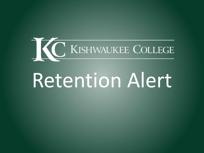

# Retention Alert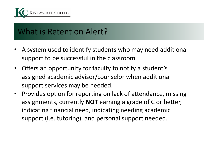

### What is Retention Alert?

- A system used to identify students who may need additional support to be successful in the classroom.
- Offers an opportunity for faculty to notify a student's assigned academic advisor/counselor when additional support services may be needed.
- Provides option for reporting on lack of attendance, missing assignments, currently **NOT** earning a grade of C or better, indicating financial need, indicating needing academic support (i.e. tutoring), and personal support needed.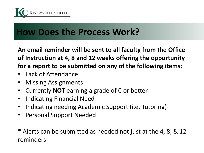

## **How Does the Process Work?**

**An email reminder will be sent to all faculty from the Office of Instruction at 4, 8 and 12 weeks offering the opportunity for a report to be submitted on any of the following items:** 

- Lack of Attendance
- Missing Assignments
- Currently **NOT** earning a grade of C or better
- Indicating Financial Need
- Indicating needing Academic Support (i.e. Tutoring)
- Personal Support Needed

\* Alerts can be submitted as needed not just at the 4, 8, & 12 reminders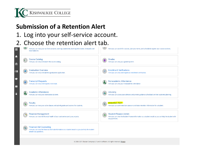

#### **Submission of a Retention Alert**

#### 1. Log into your self-service account.

#### 2. Choose the retention alert tab.

| Here you can view your tax form consents, earnings statements, banking information, timecards and<br>leave balances.                                                          | Here you can search for courses, plan your terms, and schedule & register your course sections.                                                         |
|-------------------------------------------------------------------------------------------------------------------------------------------------------------------------------|---------------------------------------------------------------------------------------------------------------------------------------------------------|
| A<br><b>Course Catalog</b><br>Here you can view and search the course catalog.<br>孟                                                                                           | Grades<br>Here you can view your grades by term.                                                                                                        |
| <b>Graduation Overview</b><br>$\odot$ s<br>Here you can view and submit a graduation application.                                                                             | <b>Enrollment Verifications</b><br>图<br>Here you can view and request an enrollment verification.                                                       |
| G<br><b>Transcript Requests</b><br>Here you can view and request a transcript.<br>출                                                                                           | Nonacademic Attendance<br><b>Co</b><br>Here you can view your nonacademic attendance                                                                    |
| <b>Academic Attendance</b><br>Α<br>Here you can view your attendances by term.                                                                                                | <b>Advising</b><br>Here you can access your advisees and provide guidance & feedback on their academic planning.                                        |
| Faculty<br>Here you can view your active classes and submit grades and waivers for students.                                                                                  | <b>Retention Alert</b><br>Here you can work retention cases or contribute retention information for a student.                                          |
| <b>Financial Management</b><br>Here you can view the financial health of your cost centers and your projects.                                                                 | <b>Student Finance Admin</b><br>Here you can view the Student Finance information as a student would so you can help the student with<br>any questions. |
| <b>Financial Aid Counseling</b><br>$\boxed{5}$<br>Here you can view the Financial Aid Hub information as a student would so you can help the student<br>answer any questions. |                                                                                                                                                         |

@ 2000-2021 Ellucian Company L.P. and its affiliates. All rights reserved. Privacy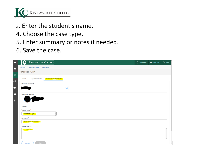

- 3. Enter the student's name.
- 4. Choose the case type.
- 5. Enter summary or notes if needed.
- 6. Save the case.

| <b>C KISHWAUKEE COLLEGE</b><br>$\equiv$                              | $\beta$ ehermann $\beta$ sign out | $\odot$ Help |
|----------------------------------------------------------------------|-----------------------------------|--------------|
| Daily Work Retention Alert Work Cases                                |                                   |              |
| <b>Retention Alert</b>                                               |                                   |              |
| <b>My Contributions</b><br><b>Contribute Retention Info</b><br>Cases |                                   |              |
| <b>Student Name or ID</b><br>$\alpha$                                |                                   |              |
| <b>Retention Case for</b>                                            |                                   |              |
| <b>Actions</b>                                                       |                                   |              |
| Type of Issue *<br>Select a Case Type                                |                                   |              |
| Summary *<br>Enter summary details here                              |                                   |              |
| Detailed Notes *                                                     |                                   |              |
| Add comment                                                          |                                   |              |
| Save<br>Cancel                                                       |                                   |              |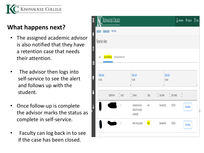

#### **What happens next?**

- The assigned academic advisor is also notified that they have a retention case that needs their attention.
- The advisor then logs into self-service to see the alert and follows up with the student.
- Once follow-up is complete the advisor marks the status as complete in self-service.
- Faculty can log back in to see if the case has been closed.